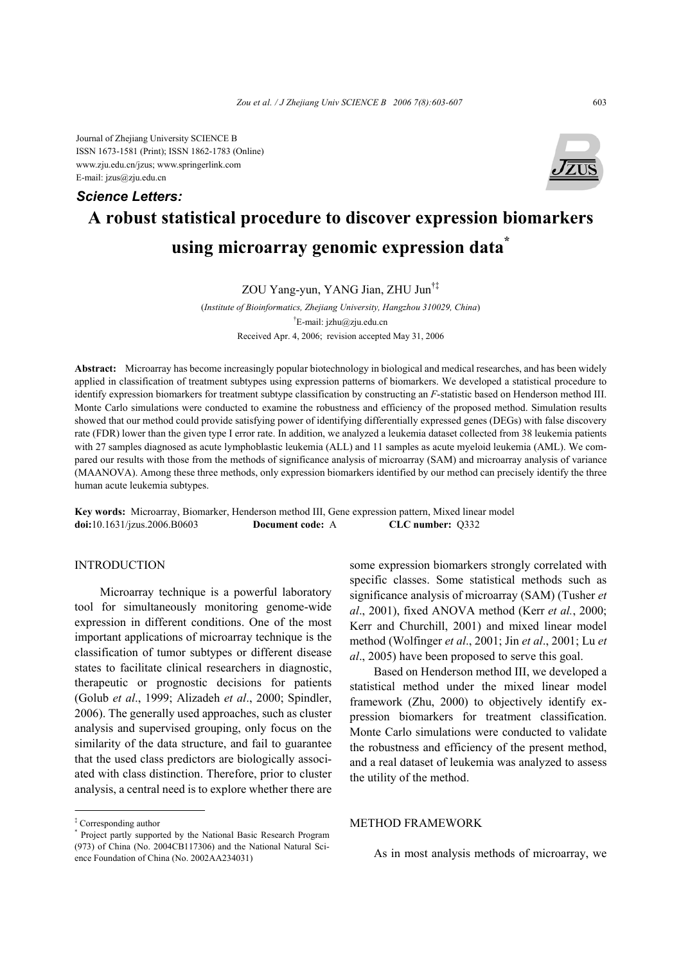Journal of Zhejiang University SCIENCE B ISSN 1673-1581 (Print); ISSN 1862-1783 (Online) www.zju.edu.cn/jzus; www.springerlink.com E-mail: jzus@zju.edu.cn

### *Science Letters:*



# **A robust statistical procedure to discover expression biomarkers using microarray genomic expression data\***

ZOU Yang-yun, YANG Jian, ZHU Jun†‡

(*Institute of Bioinformatics, Zhejiang University, Hangzhou 310029, China*) <sup>†</sup>E-mail: jzhu@zju.edu.cn Received Apr. 4, 2006; revision accepted May 31, 2006

**Abstract:** Microarray has become increasingly popular biotechnology in biological and medical researches, and has been widely applied in classification of treatment subtypes using expression patterns of biomarkers. We developed a statistical procedure to identify expression biomarkers for treatment subtype classification by constructing an *F*-statistic based on Henderson method III. Monte Carlo simulations were conducted to examine the robustness and efficiency of the proposed method. Simulation results showed that our method could provide satisfying power of identifying differentially expressed genes (DEGs) with false discovery rate (FDR) lower than the given type I error rate. In addition, we analyzed a leukemia dataset collected from 38 leukemia patients with 27 samples diagnosed as acute lymphoblastic leukemia (ALL) and 11 samples as acute myeloid leukemia (AML). We compared our results with those from the methods of significance analysis of microarray (SAM) and microarray analysis of variance (MAANOVA). Among these three methods, only expression biomarkers identified by our method can precisely identify the three human acute leukemia subtypes.

**Key words:** Microarray, Biomarker, Henderson method III, Gene expression pattern, Mixed linear model **doi:**10.1631/jzus.2006.B0603 **Document code:** A **CLC number:** Q332

# INTRODUCTION

Microarray technique is a powerful laboratory tool for simultaneously monitoring genome-wide expression in different conditions. One of the most important applications of microarray technique is the classification of tumor subtypes or different disease states to facilitate clinical researchers in diagnostic, therapeutic or prognostic decisions for patients (Golub *et al*., 1999; Alizadeh *et al*., 2000; Spindler, 2006). The generally used approaches, such as cluster analysis and supervised grouping, only focus on the similarity of the data structure, and fail to guarantee that the used class predictors are biologically associated with class distinction. Therefore, prior to cluster analysis, a central need is to explore whether there are some expression biomarkers strongly correlated with specific classes. Some statistical methods such as significance analysis of microarray (SAM) (Tusher *et al*., 2001), fixed ANOVA method (Kerr *et al.*, 2000; Kerr and Churchill, 2001) and mixed linear model method (Wolfinger *et al*., 2001; Jin *et al*., 2001; Lu *et al*., 2005) have been proposed to serve this goal.

Based on Henderson method III, we developed a statistical method under the mixed linear model framework (Zhu, 2000) to objectively identify expression biomarkers for treatment classification. Monte Carlo simulations were conducted to validate the robustness and efficiency of the present method, and a real dataset of leukemia was analyzed to assess the utility of the method.

# METHOD FRAMEWORK

As in most analysis methods of microarray, we

<sup>‡</sup> Corresponding author

<sup>\*</sup> Project partly supported by the National Basic Research Program (973) of China (No. 2004CB117306) and the National Natural Science Foundation of China (No. 2002AA234031)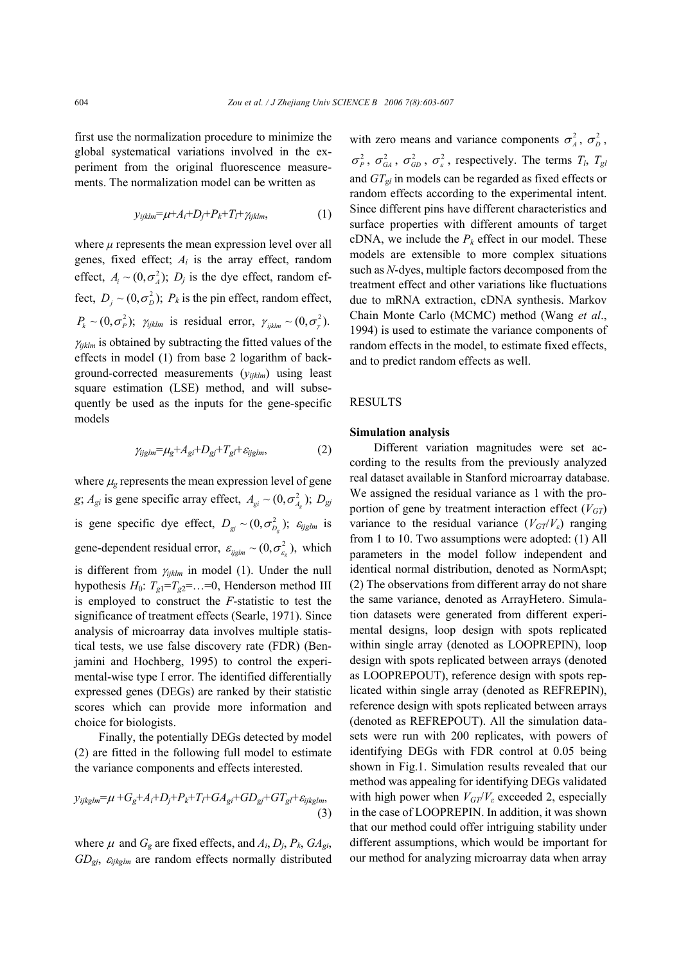first use the normalization procedure to minimize the global systematical variations involved in the experiment from the original fluorescence measurements. The normalization model can be written as

$$
y_{ijklm} = \mu + A_i + D_j + P_k + T_l + \gamma_{ijklm}, \qquad (1)
$$

where  $\mu$  represents the mean expression level over all genes, fixed effect; *Ai* is the array effect, random effect,  $A_i \sim (0, \sigma_A^2)$ ;  $D_i$  is the dye effect, random effect,  $D_i \sim (0, \sigma_n^2)$ ;  $P_k$  is the pin effect, random effect,  $P_k \sim (0, \sigma_P^2)$ ;  $\gamma_{ijklm}$  is residual error,  $\gamma_{ijklm} \sim (0, \sigma_P^2)$ . <sup>γ</sup>*ijklm* is obtained by subtracting the fitted values of the effects in model (1) from base 2 logarithm of background-corrected measurements (*yijklm*) using least square estimation (LSE) method, and will subsequently be used as the inputs for the gene-specific models

$$
\gamma_{ij\text{glm}} = \mu_{\text{g}} + A_{\text{g}i} + D_{\text{g}j} + T_{\text{g}l} + \varepsilon_{ij\text{glm}},\tag{2}
$$

where  $\mu_{g}$  represents the mean expression level of gene *g*;  $A_{gi}$  is gene specific array effect,  $A_{gi} \sim (0, \sigma_{A}^2)$ ;  $D_{gi}$ is gene specific dye effect,  $D_{gi} \sim (0, \sigma_{D_g}^2)$ ;  $\varepsilon_{ijglm}$  is gene-dependent residual error,  $\varepsilon_{ijelm} \sim (0, \sigma_{\varepsilon}^2)$ , which is different from <sup>γ</sup>*ijklm* in model (1). Under the null hypothesis  $H_0$ :  $T_{g1} = T_{g2} = \ldots = 0$ , Henderson method III is employed to construct the *F*-statistic to test the significance of treatment effects (Searle, 1971). Since analysis of microarray data involves multiple statistical tests, we use false discovery rate (FDR) (Benjamini and Hochberg, 1995) to control the experimental-wise type I error. The identified differentially expressed genes (DEGs) are ranked by their statistic scores which can provide more information and choice for biologists.

Finally, the potentially DEGs detected by model (2) are fitted in the following full model to estimate the variance components and effects interested.

$$
y_{ijkglm} = \mu + G_g + A_i + D_j + P_k + T_l + GA_{gi} + GD_{gi} + GT_{g} + \varepsilon_{ijkglm},\tag{3}
$$

where  $\mu$  and  $G_g$  are fixed effects, and  $A_i$ ,  $D_j$ ,  $P_k$ ,  $GA_{gi}$ , *GDgj*, <sup>ε</sup>*ijkglm* are random effects normally distributed with zero means and variance components  $\sigma_A^2$ ,  $\sigma_D^2$ ,  $\sigma_P^2$ ,  $\sigma_{GA}^2$ ,  $\sigma_{GD}^2$ ,  $\sigma_{\varepsilon}^2$ , respectively. The terms  $T_l$ ,  $T_{gl}$ and *GTgl* in models can be regarded as fixed effects or random effects according to the experimental intent. Since different pins have different characteristics and surface properties with different amounts of target cDNA, we include the  $P_k$  effect in our model. These models are extensible to more complex situations such as *N*-dyes, multiple factors decomposed from the treatment effect and other variations like fluctuations due to mRNA extraction, cDNA synthesis. Markov Chain Monte Carlo (MCMC) method (Wang *et al*., 1994) is used to estimate the variance components of random effects in the model, to estimate fixed effects, and to predict random effects as well.

#### RESULTS

#### **Simulation analysis**

Different variation magnitudes were set according to the results from the previously analyzed real dataset available in Stanford microarray database. We assigned the residual variance as 1 with the proportion of gene by treatment interaction effect  $(V_{GT})$ variance to the residual variance  $(V_{GT}/V_{\epsilon})$  ranging from 1 to 10. Two assumptions were adopted: (1) All parameters in the model follow independent and identical normal distribution, denoted as NormAspt; (2) The observations from different array do not share the same variance, denoted as ArrayHetero. Simulation datasets were generated from different experimental designs, loop design with spots replicated within single array (denoted as LOOPREPIN), loop design with spots replicated between arrays (denoted as LOOPREPOUT), reference design with spots replicated within single array (denoted as REFREPIN), reference design with spots replicated between arrays (denoted as REFREPOUT). All the simulation datasets were run with 200 replicates, with powers of identifying DEGs with FDR control at 0.05 being shown in Fig.1. Simulation results revealed that our method was appealing for identifying DEGs validated with high power when  $V_{GT}/V_{\epsilon}$  exceeded 2, especially in the case of LOOPREPIN. In addition, it was shown that our method could offer intriguing stability under different assumptions, which would be important for our method for analyzing microarray data when array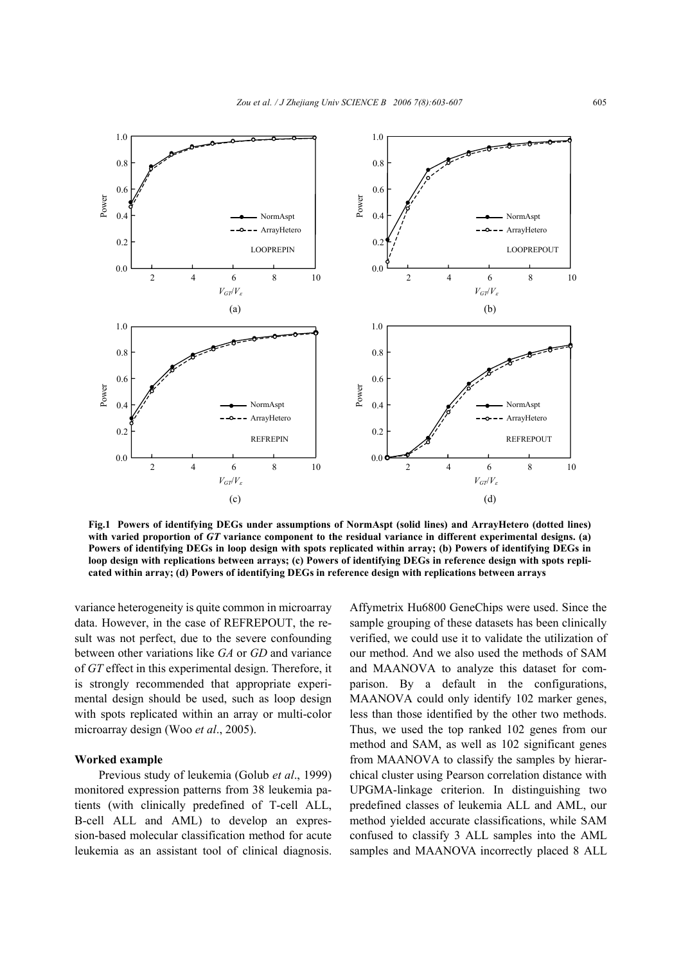

**Fig.1 Powers of identifying DEGs under assumptions of NormAspt (solid lines) and ArrayHetero (dotted lines) with varied proportion of** *GT* **variance component to the residual variance in different experimental designs. (a) Powers of identifying DEGs in loop design with spots replicated within array; (b) Powers of identifying DEGs in loop design with replications between arrays; (c) Powers of identifying DEGs in reference design with spots replicated within array; (d) Powers of identifying DEGs in reference design with replications between arrays**

variance heterogeneity is quite common in microarray data. However, in the case of REFREPOUT, the result was not perfect, due to the severe confounding between other variations like *GA* or *GD* and variance of *GT* effect in this experimental design. Therefore, it is strongly recommended that appropriate experimental design should be used, such as loop design with spots replicated within an array or multi-color microarray design (Woo *et al*., 2005).

# **Worked example**

Previous study of leukemia (Golub *et al*., 1999) monitored expression patterns from 38 leukemia patients (with clinically predefined of T-cell ALL, B-cell ALL and AML) to develop an expression-based molecular classification method for acute leukemia as an assistant tool of clinical diagnosis. Affymetrix Hu6800 GeneChips were used. Since the sample grouping of these datasets has been clinically verified, we could use it to validate the utilization of our method. And we also used the methods of SAM and MAANOVA to analyze this dataset for comparison. By a default in the configurations, MAANOVA could only identify 102 marker genes, less than those identified by the other two methods. Thus, we used the top ranked 102 genes from our method and SAM, as well as 102 significant genes from MAANOVA to classify the samples by hierarchical cluster using Pearson correlation distance with UPGMA-linkage criterion. In distinguishing two predefined classes of leukemia ALL and AML, our method yielded accurate classifications, while SAM confused to classify 3 ALL samples into the AML samples and MAANOVA incorrectly placed 8 ALL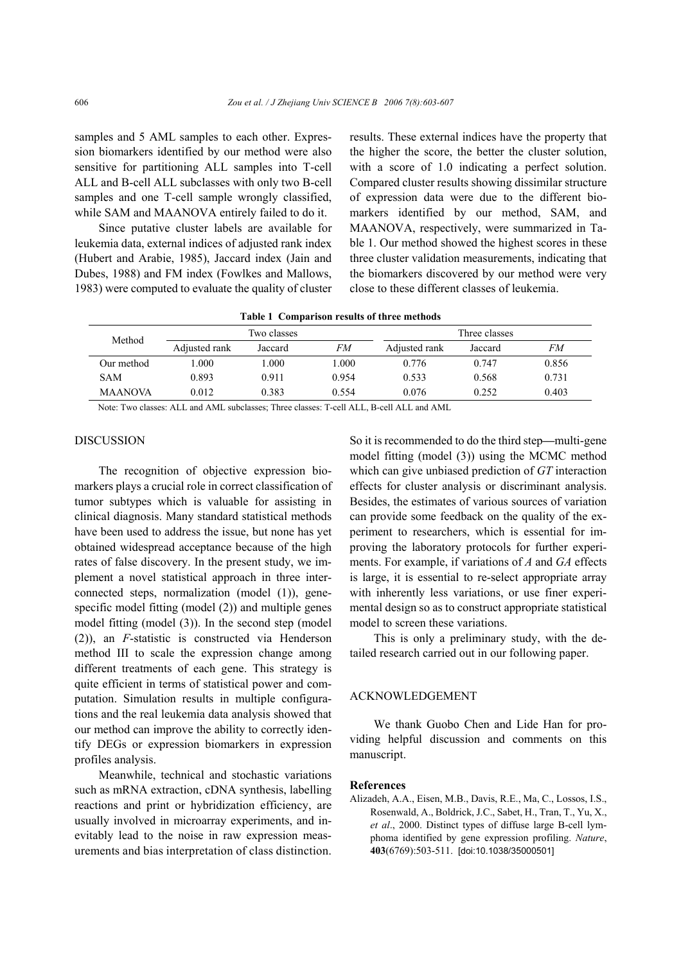samples and 5 AML samples to each other. Expression biomarkers identified by our method were also sensitive for partitioning ALL samples into T-cell ALL and B-cell ALL subclasses with only two B-cell samples and one T-cell sample wrongly classified, while SAM and MAANOVA entirely failed to do it.

Since putative cluster labels are available for leukemia data, external indices of adjusted rank index (Hubert and Arabie, 1985), Jaccard index (Jain and Dubes, 1988) and FM index (Fowlkes and Mallows, 1983) were computed to evaluate the quality of cluster results. These external indices have the property that the higher the score, the better the cluster solution, with a score of 1.0 indicating a perfect solution. Compared cluster results showing dissimilar structure of expression data were due to the different biomarkers identified by our method, SAM, and MAANOVA, respectively, were summarized in Table 1. Our method showed the highest scores in these three cluster validation measurements, indicating that the biomarkers discovered by our method were very close to these different classes of leukemia.

|  |  |  | Table 1 Comparison results of three methods |
|--|--|--|---------------------------------------------|
|--|--|--|---------------------------------------------|

| Method         |               | Two classes |       |               | Three classes |       |
|----------------|---------------|-------------|-------|---------------|---------------|-------|
|                | Adjusted rank | Jaccard     | FМ    | Adjusted rank | Jaccard       | FМ    |
| Our method     | .000          | .000.       | .000  | 0.776         | 0.747         | 0.856 |
| <b>SAM</b>     | 0.893         | 0.911       | 0.954 | 0.533         | 0.568         | 0.731 |
| <b>MAANOVA</b> | 0.012         | 0.383       | 0.554 | 0.076         | 0.252         | 0.403 |

Note: Two classes: ALL and AML subclasses; Three classes: T-cell ALL, B-cell ALL and AML

## **DISCUSSION**

The recognition of objective expression biomarkers plays a crucial role in correct classification of tumor subtypes which is valuable for assisting in clinical diagnosis. Many standard statistical methods have been used to address the issue, but none has yet obtained widespread acceptance because of the high rates of false discovery. In the present study, we implement a novel statistical approach in three interconnected steps, normalization (model (1)), genespecific model fitting (model (2)) and multiple genes model fitting (model (3)). In the second step (model (2)), an *F*-statistic is constructed via Henderson method III to scale the expression change among different treatments of each gene. This strategy is quite efficient in terms of statistical power and computation. Simulation results in multiple configurations and the real leukemia data analysis showed that our method can improve the ability to correctly identify DEGs or expression biomarkers in expression profiles analysis.

Meanwhile, technical and stochastic variations such as mRNA extraction, cDNA synthesis, labelling reactions and print or hybridization efficiency, are usually involved in microarray experiments, and inevitably lead to the noise in raw expression measurements and bias interpretation of class distinction.

So it is recommended to do the third step**—**multi-gene model fitting (model (3)) using the MCMC method which can give unbiased prediction of *GT* interaction effects for cluster analysis or discriminant analysis. Besides, the estimates of various sources of variation can provide some feedback on the quality of the experiment to researchers, which is essential for improving the laboratory protocols for further experiments. For example, if variations of *A* and *GA* effects is large, it is essential to re-select appropriate array with inherently less variations, or use finer experimental design so as to construct appropriate statistical model to screen these variations.

This is only a preliminary study, with the detailed research carried out in our following paper.

## ACKNOWLEDGEMENT

We thank Guobo Chen and Lide Han for providing helpful discussion and comments on this manuscript.

## **References**

Alizadeh, A.A., Eisen, M.B., Davis, R.E., Ma, C., Lossos, I.S., Rosenwald, A., Boldrick, J.C., Sabet, H., Tran, T., Yu, X., *et al*., 2000. Distinct types of diffuse large B-cell lymphoma identified by gene expression profiling. *Nature*, **403**(6769):503-511. [doi:10.1038/35000501]